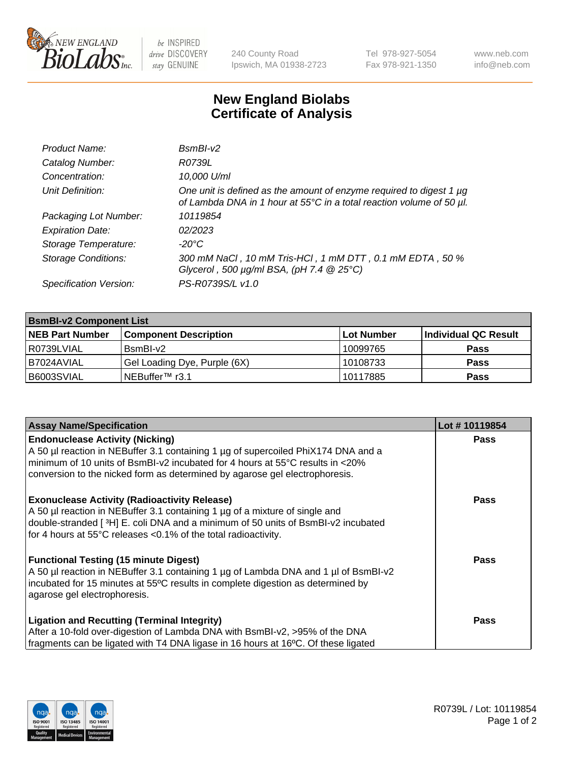

 $be$  INSPIRED drive DISCOVERY stay GENUINE

240 County Road Ipswich, MA 01938-2723 Tel 978-927-5054 Fax 978-921-1350 www.neb.com info@neb.com

## **New England Biolabs Certificate of Analysis**

| Product Name:              | $BsmBI-v2$                                                                                                                                  |
|----------------------------|---------------------------------------------------------------------------------------------------------------------------------------------|
| Catalog Number:            | R0739L                                                                                                                                      |
| Concentration:             | 10,000 U/ml                                                                                                                                 |
| Unit Definition:           | One unit is defined as the amount of enzyme required to digest 1 µg<br>of Lambda DNA in 1 hour at 55°C in a total reaction volume of 50 µl. |
| Packaging Lot Number:      | 10119854                                                                                                                                    |
| <b>Expiration Date:</b>    | 02/2023                                                                                                                                     |
| Storage Temperature:       | $-20^{\circ}$ C                                                                                                                             |
| <b>Storage Conditions:</b> | 300 mM NaCl, 10 mM Tris-HCl, 1 mM DTT, 0.1 mM EDTA, 50 %<br>Glycerol, 500 $\mu$ g/ml BSA, (pH 7.4 $@25°C$ )                                 |
| Specification Version:     | PS-R0739S/L v1.0                                                                                                                            |

| <b>BsmBI-v2 Component List</b> |                              |                   |                      |  |  |
|--------------------------------|------------------------------|-------------------|----------------------|--|--|
| <b>NEB Part Number</b>         | <b>Component Description</b> | <b>Lot Number</b> | Individual QC Result |  |  |
| R0739LVIAL                     | BsmBI-v2                     | 10099765          | <b>Pass</b>          |  |  |
| B7024AVIAL                     | Gel Loading Dye, Purple (6X) | 10108733          | <b>Pass</b>          |  |  |
| B6003SVIAL                     | INEBuffer™ r3.1              | 10117885          | <b>Pass</b>          |  |  |

| <b>Assay Name/Specification</b>                                                     | Lot #10119854 |
|-------------------------------------------------------------------------------------|---------------|
| <b>Endonuclease Activity (Nicking)</b>                                              | <b>Pass</b>   |
| A 50 µl reaction in NEBuffer 3.1 containing 1 µg of supercoiled PhiX174 DNA and a   |               |
| minimum of 10 units of BsmBI-v2 incubated for 4 hours at 55°C results in <20%       |               |
| conversion to the nicked form as determined by agarose gel electrophoresis.         |               |
| <b>Exonuclease Activity (Radioactivity Release)</b>                                 | Pass          |
| A 50 µl reaction in NEBuffer 3.1 containing 1 µg of a mixture of single and         |               |
| double-stranded [3H] E. coli DNA and a minimum of 50 units of BsmBI-v2 incubated    |               |
| for 4 hours at 55°C releases <0.1% of the total radioactivity.                      |               |
| <b>Functional Testing (15 minute Digest)</b>                                        | Pass          |
| A 50 µl reaction in NEBuffer 3.1 containing 1 µg of Lambda DNA and 1 µl of BsmBI-v2 |               |
| incubated for 15 minutes at 55°C results in complete digestion as determined by     |               |
| agarose gel electrophoresis.                                                        |               |
| <b>Ligation and Recutting (Terminal Integrity)</b>                                  | Pass          |
| After a 10-fold over-digestion of Lambda DNA with BsmBI-v2, >95% of the DNA         |               |
| fragments can be ligated with T4 DNA ligase in 16 hours at 16°C. Of these ligated   |               |